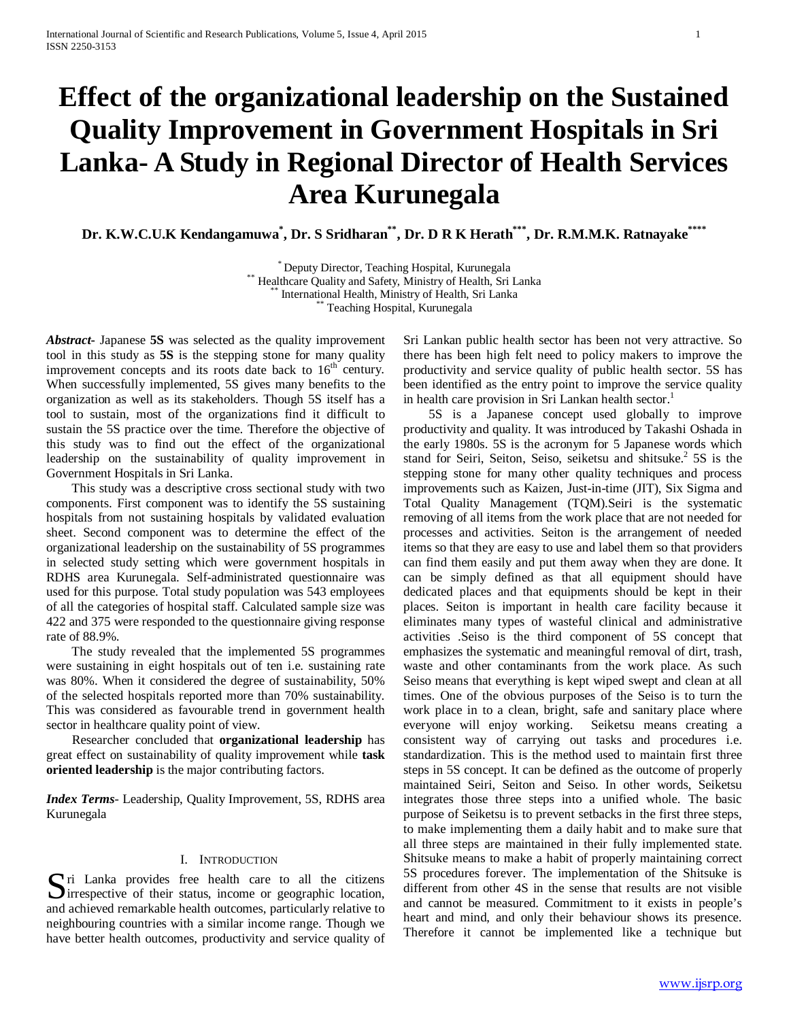# **Effect of the organizational leadership on the Sustained Quality Improvement in Government Hospitals in Sri Lanka- A Study in Regional Director of Health Services Area Kurunegala**

**Dr. K.W.C.U.K Kendangamuwa\* , Dr. S Sridharan\*\*, Dr. D R K Herath\*\*\*, Dr. R.M.M.K. Ratnayake\*\*\*\***

\*\* Deputy Director, Teaching Hospital, Kurunegala<br>\*\* Healthcare Quality and Safety, Ministry of Health, Sri Lanka<br>\*\* International Health, Ministry of Health, Sri Lanka<br>\*\* Teaching Hospital, Kurunegala

*Abstract***-** Japanese **5S** was selected as the quality improvement tool in this study as **5S** is the stepping stone for many quality improvement concepts and its roots date back to  $16<sup>th</sup>$  century. When successfully implemented, 5S gives many benefits to the organization as well as its stakeholders. Though 5S itself has a tool to sustain, most of the organizations find it difficult to sustain the 5S practice over the time. Therefore the objective of this study was to find out the effect of the organizational leadership on the sustainability of quality improvement in Government Hospitals in Sri Lanka.

 This study was a descriptive cross sectional study with two components. First component was to identify the 5S sustaining hospitals from not sustaining hospitals by validated evaluation sheet. Second component was to determine the effect of the organizational leadership on the sustainability of 5S programmes in selected study setting which were government hospitals in RDHS area Kurunegala. Self-administrated questionnaire was used for this purpose. Total study population was 543 employees of all the categories of hospital staff. Calculated sample size was 422 and 375 were responded to the questionnaire giving response rate of 88.9%.

 The study revealed that the implemented 5S programmes were sustaining in eight hospitals out of ten i.e. sustaining rate was 80%. When it considered the degree of sustainability, 50% of the selected hospitals reported more than 70% sustainability. This was considered as favourable trend in government health sector in healthcare quality point of view.

 Researcher concluded that **organizational leadership** has great effect on sustainability of quality improvement while **task oriented leadership** is the major contributing factors.

*Index Terms*- Leadership, Quality Improvement, 5S, RDHS area Kurunegala

# I. INTRODUCTION

Since Tranka provides free health care to all the citizens Sirrespective of their status, income or geographic location,  $\sum$  irrespective of their status, income or geographic location, and achieved remarkable health outcomes, particularly relative to neighbouring countries with a similar income range. Though we have better health outcomes, productivity and service quality of

Sri Lankan public health sector has been not very attractive. So there has been high felt need to policy makers to improve the productivity and service quality of public health sector. 5S has been identified as the entry point to improve the service quality in health care provision in Sri Lankan health sector.<sup>1</sup>

 5S is a Japanese concept used globally to improve productivity and quality. It was introduced by Takashi Oshada in the early 1980s. 5S is the acronym for 5 Japanese words which stand for Seiri, Seiton, Seiso, seiketsu and shitsuke.<sup>2</sup> 5S is the stepping stone for many other quality techniques and process improvements such as Kaizen, Just-in-time (JIT), Six Sigma and Total Quality Management (TQM).Seiri is the systematic removing of all items from the work place that are not needed for processes and activities. Seiton is the arrangement of needed items so that they are easy to use and label them so that providers can find them easily and put them away when they are done. It can be simply defined as that all equipment should have dedicated places and that equipments should be kept in their places. Seiton is important in health care facility because it eliminates many types of wasteful clinical and administrative activities .Seiso is the third component of 5S concept that emphasizes the systematic and meaningful removal of dirt, trash, waste and other contaminants from the work place. As such Seiso means that everything is kept wiped swept and clean at all times. One of the obvious purposes of the Seiso is to turn the work place in to a clean, bright, safe and sanitary place where everyone will enjoy working. Seiketsu means creating a consistent way of carrying out tasks and procedures i.e. standardization. This is the method used to maintain first three steps in 5S concept. It can be defined as the outcome of properly maintained Seiri, Seiton and Seiso. In other words, Seiketsu integrates those three steps into a unified whole. The basic purpose of Seiketsu is to prevent setbacks in the first three steps, to make implementing them a daily habit and to make sure that all three steps are maintained in their fully implemented state. Shitsuke means to make a habit of properly maintaining correct 5S procedures forever. The implementation of the Shitsuke is different from other 4S in the sense that results are not visible and cannot be measured. Commitment to it exists in people's heart and mind, and only their behaviour shows its presence. Therefore it cannot be implemented like a technique but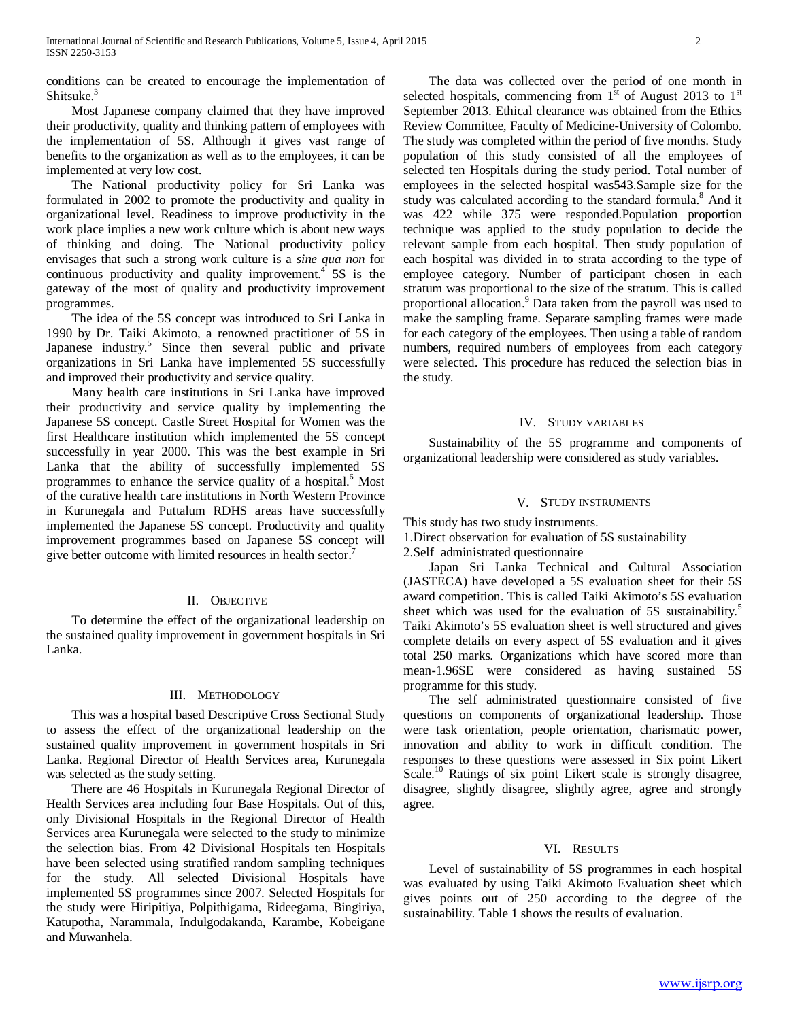conditions can be created to encourage the implementation of Shitsuke.<sup>3</sup>

 Most Japanese company claimed that they have improved their productivity, quality and thinking pattern of employees with the implementation of 5S. Although it gives vast range of benefits to the organization as well as to the employees, it can be implemented at very low cost.

 The National productivity policy for Sri Lanka was formulated in 2002 to promote the productivity and quality in organizational level. Readiness to improve productivity in the work place implies a new work culture which is about new ways of thinking and doing. The National productivity policy envisages that such a strong work culture is a *sine qua non* for continuous productivity and quality improvement.<sup>4</sup> 5S is the gateway of the most of quality and productivity improvement programmes.

 The idea of the 5S concept was introduced to Sri Lanka in 1990 by Dr. Taiki Akimoto, a renowned practitioner of 5S in Japanese industry.<sup>5</sup> Since then several public and private organizations in Sri Lanka have implemented 5S successfully and improved their productivity and service quality.

 Many health care institutions in Sri Lanka have improved their productivity and service quality by implementing the Japanese 5S concept. Castle Street Hospital for Women was the first Healthcare institution which implemented the 5S concept successfully in year 2000. This was the best example in Sri Lanka that the ability of successfully implemented 5S programmes to enhance the service quality of a hospital.<sup>6</sup> Most of the curative health care institutions in North Western Province in Kurunegala and Puttalum RDHS areas have successfully implemented the Japanese 5S concept. Productivity and quality improvement programmes based on Japanese 5S concept will give better outcome with limited resources in health sector.<sup>7</sup>

#### II. OBJECTIVE

 To determine the effect of the organizational leadership on the sustained quality improvement in government hospitals in Sri Lanka.

# III. METHODOLOGY

 This was a hospital based Descriptive Cross Sectional Study to assess the effect of the organizational leadership on the sustained quality improvement in government hospitals in Sri Lanka. Regional Director of Health Services area, Kurunegala was selected as the study setting.

 There are 46 Hospitals in Kurunegala Regional Director of Health Services area including four Base Hospitals. Out of this, only Divisional Hospitals in the Regional Director of Health Services area Kurunegala were selected to the study to minimize the selection bias. From 42 Divisional Hospitals ten Hospitals have been selected using stratified random sampling techniques for the study. All selected Divisional Hospitals have implemented 5S programmes since 2007. Selected Hospitals for the study were Hiripitiya, Polpithigama, Rideegama, Bingiriya, Katupotha, Narammala, Indulgodakanda, Karambe, Kobeigane and Muwanhela.

 The data was collected over the period of one month in selected hospitals, commencing from  $1<sup>st</sup>$  of August 2013 to  $1<sup>st</sup>$ September 2013. Ethical clearance was obtained from the Ethics Review Committee, Faculty of Medicine-University of Colombo. The study was completed within the period of five months. Study population of this study consisted of all the employees of selected ten Hospitals during the study period. Total number of employees in the selected hospital was543.Sample size for the study was calculated according to the standard formula.<sup>8</sup> And it was 422 while 375 were responded.Population proportion technique was applied to the study population to decide the relevant sample from each hospital. Then study population of each hospital was divided in to strata according to the type of employee category. Number of participant chosen in each stratum was proportional to the size of the stratum. This is called proportional allocation.<sup>9</sup> Data taken from the payroll was used to make the sampling frame. Separate sampling frames were made for each category of the employees. Then using a table of random numbers, required numbers of employees from each category were selected. This procedure has reduced the selection bias in the study.

#### IV. STUDY VARIABLES

 Sustainability of the 5S programme and components of organizational leadership were considered as study variables.

#### V. STUDY INSTRUMENTS

This study has two study instruments.

1.Direct observation for evaluation of 5S sustainability

2.Self administrated questionnaire

 Japan Sri Lanka Technical and Cultural Association (JASTECA) have developed a 5S evaluation sheet for their 5S award competition. This is called Taiki Akimoto's 5S evaluation sheet which was used for the evaluation of 5S sustainability.<sup>5</sup> Taiki Akimoto's 5S evaluation sheet is well structured and gives complete details on every aspect of 5S evaluation and it gives total 250 marks. Organizations which have scored more than mean-1.96SE were considered as having sustained 5S programme for this study.

 The self administrated questionnaire consisted of five questions on components of organizational leadership. Those were task orientation, people orientation, charismatic power, innovation and ability to work in difficult condition. The responses to these questions were assessed in Six point Likert Scale.<sup>10</sup> Ratings of six point Likert scale is strongly disagree, disagree, slightly disagree, slightly agree, agree and strongly agree.

#### VI. RESULTS

 Level of sustainability of 5S programmes in each hospital was evaluated by using Taiki Akimoto Evaluation sheet which gives points out of 250 according to the degree of the sustainability. Table 1 shows the results of evaluation.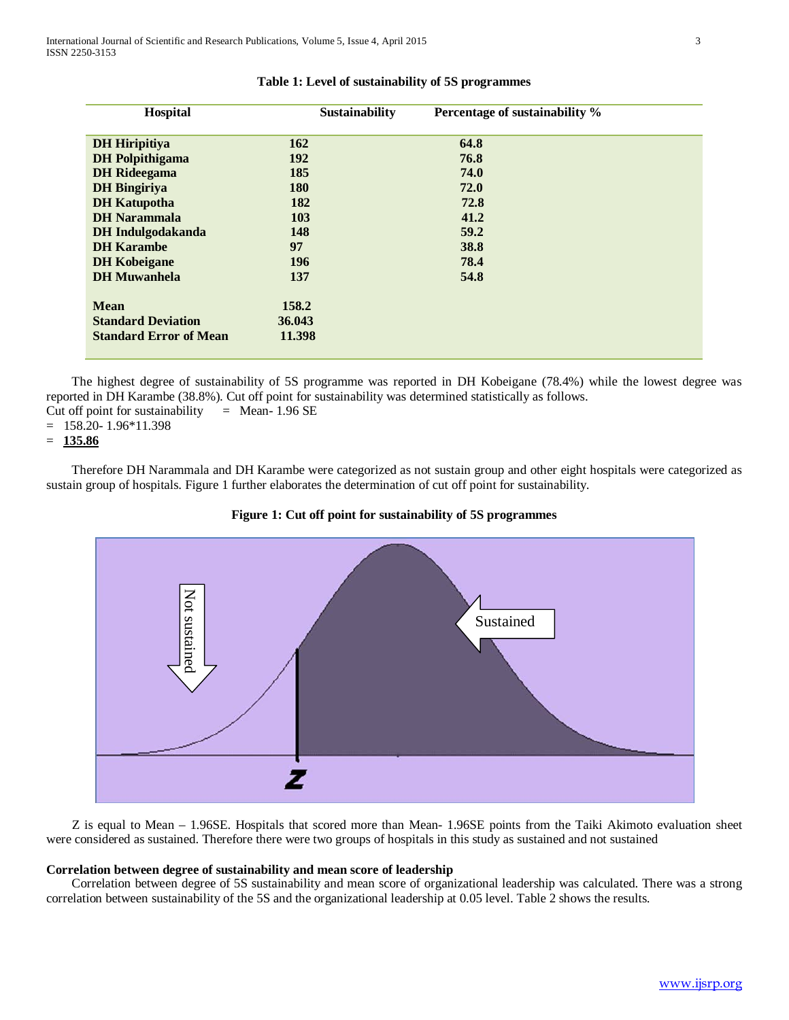| Hospital                      | <b>Sustainability</b> | Percentage of sustainability % |
|-------------------------------|-----------------------|--------------------------------|
| <b>DH</b> Hiripitiya          | <b>162</b>            | 64.8                           |
| <b>DH</b> Polpithigama        | <b>192</b>            | 76.8                           |
| <b>DH</b> Rideegama           | 185                   | 74.0                           |
| <b>DH</b> Bingiriya           | <b>180</b>            | 72.0                           |
| <b>DH</b> Katupotha           | 182                   | 72.8                           |
| <b>DH</b> Narammala           | <b>103</b>            | 41.2                           |
| <b>DH</b> Indulgodakanda      | 148                   | 59.2                           |
| <b>DH</b> Karambe             | 97                    | 38.8                           |
| <b>DH</b> Kobeigane           | <b>196</b>            | 78.4                           |
| <b>DH</b> Muwanhela           | 137                   | 54.8                           |
| <b>Mean</b>                   | 158.2                 |                                |
| <b>Standard Deviation</b>     | 36.043                |                                |
| <b>Standard Error of Mean</b> | 11.398                |                                |

# **Table 1: Level of sustainability of 5S programmes**

 The highest degree of sustainability of 5S programme was reported in DH Kobeigane (78.4%) while the lowest degree was reported in DH Karambe (38.8%). Cut off point for sustainability was determined statistically as follows. Cut off point for sustainability  $=$  Mean- 1.96 SE

 $= 158.20 - 1.96*11.398$ 

```
= 135.86
```
 Therefore DH Narammala and DH Karambe were categorized as not sustain group and other eight hospitals were categorized as sustain group of hospitals. Figure 1 further elaborates the determination of cut off point for sustainability.



# **Figure 1: Cut off point for sustainability of 5S programmes**

 Z is equal to Mean – 1.96SE. Hospitals that scored more than Mean- 1.96SE points from the Taiki Akimoto evaluation sheet were considered as sustained. Therefore there were two groups of hospitals in this study as sustained and not sustained

#### **Correlation between degree of sustainability and mean score of leadership**

 Correlation between degree of 5S sustainability and mean score of organizational leadership was calculated. There was a strong correlation between sustainability of the 5S and the organizational leadership at 0.05 level. Table 2 shows the results.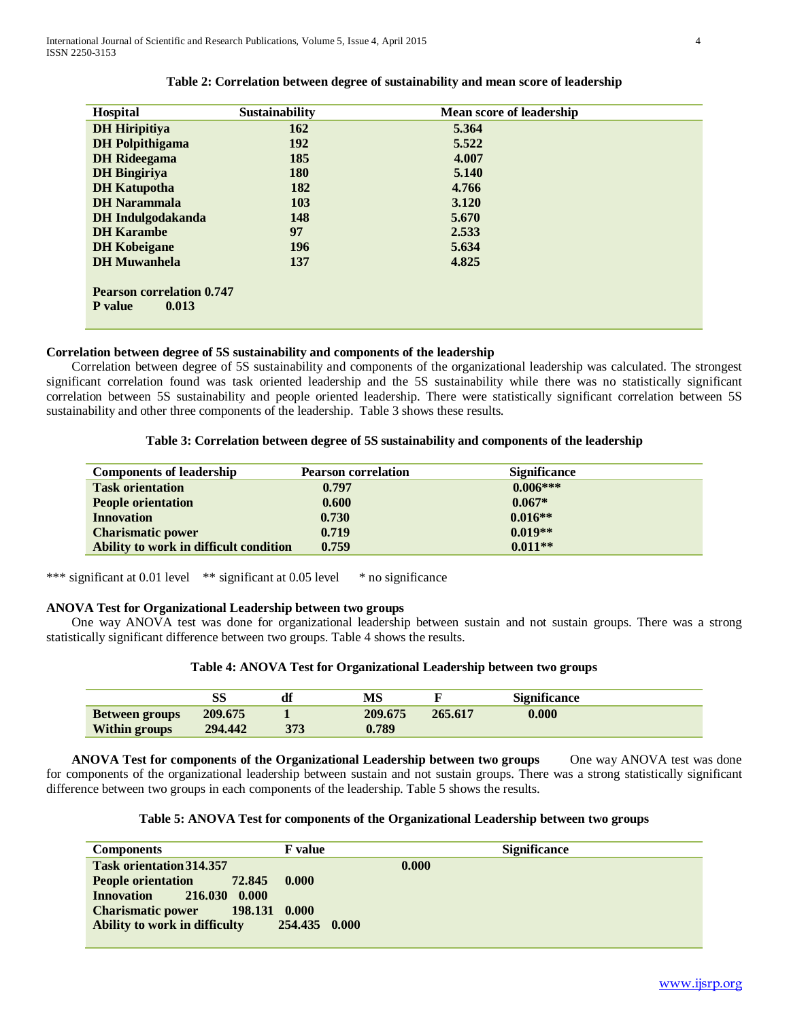| Hospital                         | <b>Sustainability</b> | <b>Mean score of leadership</b> |
|----------------------------------|-----------------------|---------------------------------|
| <b>DH</b> Hiripitiya             | 162                   | 5.364                           |
| <b>DH</b> Polpithigama           | <b>192</b>            | 5.522                           |
| <b>DH</b> Rideegama              | 185                   | 4.007                           |
| <b>DH</b> Bingiriya              | <b>180</b>            | 5.140                           |
| <b>DH</b> Katupotha              | 182                   | 4.766                           |
| <b>DH</b> Narammala              | 103                   | 3.120                           |
| <b>DH</b> Indulgodakanda         | 148                   | 5.670                           |
| <b>DH</b> Karambe                | 97                    | 2.533                           |
| <b>DH</b> Kobeigane              | <b>196</b>            | 5.634                           |
| <b>DH</b> Muwanhela              | 137                   | 4.825                           |
| <b>Pearson correlation 0.747</b> |                       |                                 |
| <b>P</b> value<br>0.013          |                       |                                 |
|                                  |                       |                                 |

# **Table 2: Correlation between degree of sustainability and mean score of leadership**

# **Correlation between degree of 5S sustainability and components of the leadership**

 Correlation between degree of 5S sustainability and components of the organizational leadership was calculated. The strongest significant correlation found was task oriented leadership and the 5S sustainability while there was no statistically significant correlation between 5S sustainability and people oriented leadership. There were statistically significant correlation between 5S sustainability and other three components of the leadership. Table 3 shows these results.

# **Table 3: Correlation between degree of 5S sustainability and components of the leadership**

| <b>Components of leadership</b>        | <b>Pearson correlation</b> | <b>Significance</b> |
|----------------------------------------|----------------------------|---------------------|
| <b>Task orientation</b>                | 0.797                      | $0.006***$          |
| <b>People orientation</b>              | 0.600                      | $0.067*$            |
| <b>Innovation</b>                      | 0.730                      | $0.016**$           |
| <b>Charismatic power</b>               | 0.719                      | $0.019**$           |
| Ability to work in difficult condition | 0.759                      | $0.011**$           |

\*\*\* significant at 0.01 level \*\* significant at 0.05 level \* no significance

## **ANOVA Test for Organizational Leadership between two groups**

 One way ANOVA test was done for organizational leadership between sustain and not sustain groups. There was a strong statistically significant difference between two groups. Table 4 shows the results.

# **Table 4: ANOVA Test for Organizational Leadership between two groups**

|                       |         | df  | MS      |         | <b>Significance</b> |
|-----------------------|---------|-----|---------|---------|---------------------|
| <b>Between groups</b> | 209.675 |     | 209.675 | 265.617 | 0.000               |
| <b>Within groups</b>  | 294.442 | 373 | 0.789   |         |                     |

**ANOVA Test for components of the Organizational Leadership between two groups** One way ANOVA test was done for components of the organizational leadership between sustain and not sustain groups. There was a strong statistically significant difference between two groups in each components of the leadership. Table 5 shows the results.

#### **Table 5: ANOVA Test for components of the Organizational Leadership between two groups**

| <b>Components</b>                    | <b>F</b> value | <b>Significance</b> |
|--------------------------------------|----------------|---------------------|
| <b>Task orientation 314.357</b>      |                | 0.000               |
| People orientation 72.845 0.000      |                |                     |
| 216.030 0.000<br><b>Innovation</b>   |                |                     |
| Charismatic power 198.131 0.000      |                |                     |
| <b>Ability to work in difficulty</b> | 254.435 0.000  |                     |
|                                      |                |                     |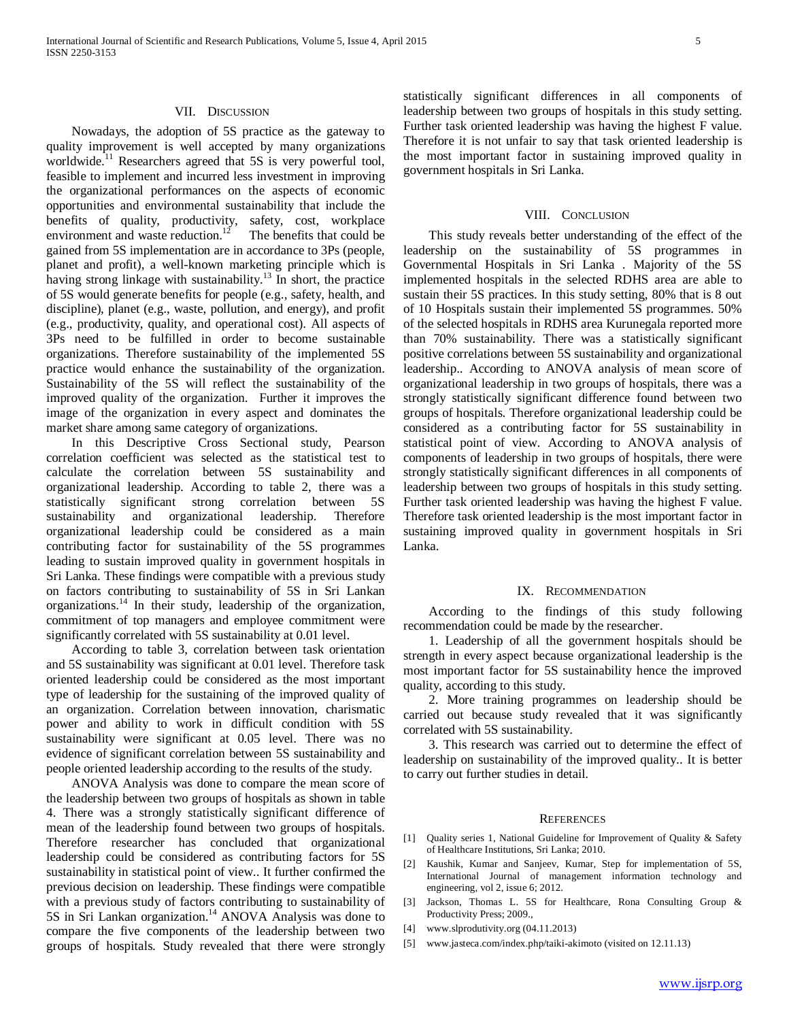## VII. DISCUSSION

 Nowadays, the adoption of 5S practice as the gateway to quality improvement is well accepted by many organizations worldwide.<sup>11</sup> Researchers agreed that 5S is very powerful tool, feasible to implement and incurred less investment in improving the organizational performances on the aspects of economic opportunities and environmental sustainability that include the benefits of quality, productivity, safety, cost, workplace environment and waste reduction.<sup>12</sup> The benefits that could be gained from 5S implementation are in accordance to 3Ps (people, planet and profit), a well-known marketing principle which is having strong linkage with sustainability.<sup>13</sup> In short, the practice of 5S would generate benefits for people (e.g., safety, health, and discipline), planet (e.g., waste, pollution, and energy), and profit (e.g., productivity, quality, and operational cost). All aspects of 3Ps need to be fulfilled in order to become sustainable organizations. Therefore sustainability of the implemented 5S practice would enhance the sustainability of the organization. Sustainability of the 5S will reflect the sustainability of the improved quality of the organization. Further it improves the image of the organization in every aspect and dominates the market share among same category of organizations.

 In this Descriptive Cross Sectional study, Pearson correlation coefficient was selected as the statistical test to calculate the correlation between 5S sustainability and organizational leadership. According to table 2, there was a statistically significant strong correlation between 5S sustainability and organizational leadership. Therefore organizational leadership could be considered as a main contributing factor for sustainability of the 5S programmes leading to sustain improved quality in government hospitals in Sri Lanka. These findings were compatible with a previous study on factors contributing to sustainability of 5S in Sri Lankan organizations.14 In their study, leadership of the organization, commitment of top managers and employee commitment were significantly correlated with 5S sustainability at 0.01 level.

 According to table 3, correlation between task orientation and 5S sustainability was significant at 0.01 level. Therefore task oriented leadership could be considered as the most important type of leadership for the sustaining of the improved quality of an organization. Correlation between innovation, charismatic power and ability to work in difficult condition with 5S sustainability were significant at 0.05 level. There was no evidence of significant correlation between 5S sustainability and people oriented leadership according to the results of the study.

 ANOVA Analysis was done to compare the mean score of the leadership between two groups of hospitals as shown in table 4. There was a strongly statistically significant difference of mean of the leadership found between two groups of hospitals. Therefore researcher has concluded that organizational leadership could be considered as contributing factors for 5S sustainability in statistical point of view.. It further confirmed the previous decision on leadership. These findings were compatible with a previous study of factors contributing to sustainability of 5S in Sri Lankan organization.<sup>14</sup> ANOVA Analysis was done to compare the five components of the leadership between two groups of hospitals. Study revealed that there were strongly

statistically significant differences in all components of leadership between two groups of hospitals in this study setting. Further task oriented leadership was having the highest F value. Therefore it is not unfair to say that task oriented leadership is the most important factor in sustaining improved quality in government hospitals in Sri Lanka.

#### VIII. CONCLUSION

 This study reveals better understanding of the effect of the leadership on the sustainability of 5S programmes in Governmental Hospitals in Sri Lanka . Majority of the 5S implemented hospitals in the selected RDHS area are able to sustain their 5S practices. In this study setting, 80% that is 8 out of 10 Hospitals sustain their implemented 5S programmes. 50% of the selected hospitals in RDHS area Kurunegala reported more than 70% sustainability. There was a statistically significant positive correlations between 5S sustainability and organizational leadership.. According to ANOVA analysis of mean score of organizational leadership in two groups of hospitals, there was a strongly statistically significant difference found between two groups of hospitals. Therefore organizational leadership could be considered as a contributing factor for 5S sustainability in statistical point of view. According to ANOVA analysis of components of leadership in two groups of hospitals, there were strongly statistically significant differences in all components of leadership between two groups of hospitals in this study setting. Further task oriented leadership was having the highest F value. Therefore task oriented leadership is the most important factor in sustaining improved quality in government hospitals in Sri Lanka.

# IX. RECOMMENDATION

 According to the findings of this study following recommendation could be made by the researcher.

 1. Leadership of all the government hospitals should be strength in every aspect because organizational leadership is the most important factor for 5S sustainability hence the improved quality, according to this study.

 2. More training programmes on leadership should be carried out because study revealed that it was significantly correlated with 5S sustainability.

 3. This research was carried out to determine the effect of leadership on sustainability of the improved quality.. It is better to carry out further studies in detail.

#### **REFERENCES**

- [1] Quality series 1, National Guideline for Improvement of Quality & Safety of Healthcare Institutions, Sri Lanka; 2010.
- [2] Kaushik, Kumar and Sanjeev, Kumar, Step for implementation of 5S, International Journal of management information technology and engineering, vol 2, issue 6; 2012.
- [3] Jackson, Thomas L. 5S for Healthcare, Rona Consulting Group & Productivity Press; 2009.,
- [4] www.slprodutivity.org (04.11.2013)
- [5] www.jasteca.com/index.php/taiki-akimoto (visited on 12.11.13)